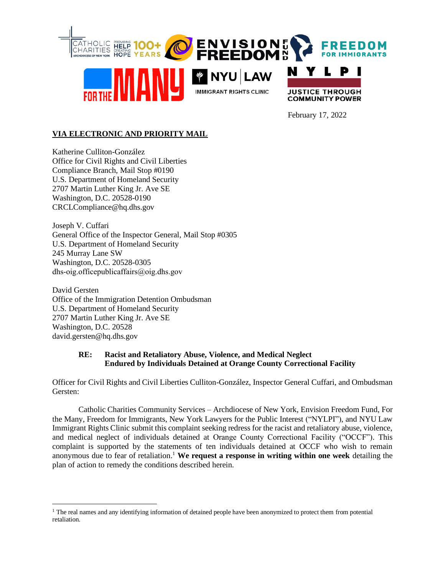

February 17, 2022

# **VIA ELECTRONIC AND PRIORITY MAIL**

Katherine Culliton-González Office for Civil Rights and Civil Liberties Compliance Branch, Mail Stop #0190 U.S. Department of Homeland Security 2707 Martin Luther King Jr. Ave SE Washington, D.C. 20528-0190 CRCLCompliance@hq.dhs.gov

Joseph V. Cuffari General Office of the Inspector General, Mail Stop #0305 U.S. Department of Homeland Security 245 Murray Lane SW Washington, D.C. 20528-0305 dhs-oig.officepublicaffairs@oig.dhs.gov

David Gersten Office of the Immigration Detention Ombudsman U.S. Department of Homeland Security 2707 Martin Luther King Jr. Ave SE Washington, D.C. 20528 david.gersten@hq.dhs.gov

# **RE: Racist and Retaliatory Abuse, Violence, and Medical Neglect Endured by Individuals Detained at Orange County Correctional Facility**

Officer for Civil Rights and Civil Liberties Culliton-González, Inspector General Cuffari, and Ombudsman Gersten:

Catholic Charities Community Services – Archdiocese of New York, Envision Freedom Fund, For the Many, Freedom for Immigrants, New York Lawyers for the Public Interest ("NYLPI"), and NYU Law Immigrant Rights Clinic submit this complaint seeking redress for the racist and retaliatory abuse, violence, and medical neglect of individuals detained at Orange County Correctional Facility ("OCCF"). This complaint is supported by the statements of ten individuals detained at OCCF who wish to remain anonymous due to fear of retaliation. <sup>1</sup> **We request a response in writing within one week** detailing the plan of action to remedy the conditions described herein.

<sup>&</sup>lt;sup>1</sup> The real names and any identifying information of detained people have been anonymized to protect them from potential retaliation.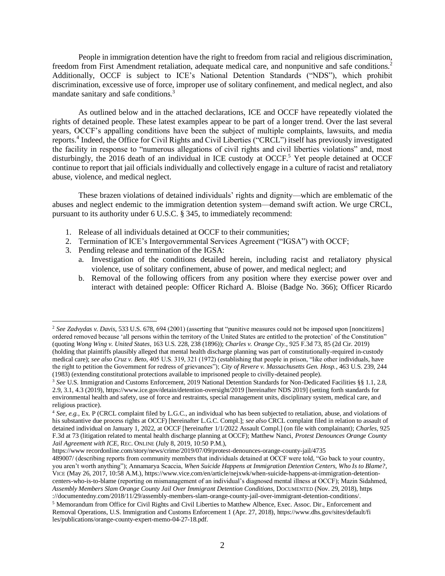People in immigration detention have the right to freedom from racial and religious discrimination, freedom from First Amendment retaliation, adequate medical care, and nonpunitive and safe conditions.<sup>2</sup> Additionally, OCCF is subject to ICE's National Detention Standards ("NDS"), which prohibit discrimination, excessive use of force, improper use of solitary confinement, and medical neglect, and also mandate sanitary and safe conditions.<sup>3</sup>

As outlined below and in the attached declarations, ICE and OCCF have repeatedly violated the rights of detained people. These latest examples appear to be part of a longer trend. Over the last several years, OCCF's appalling conditions have been the subject of multiple complaints, lawsuits, and media reports.<sup>4</sup> Indeed, the Office for Civil Rights and Civil Liberties ("CRCL") itself has previously investigated the facility in response to "numerous allegations of civil rights and civil liberties violations" and, most disturbingly, the 2016 death of an individual in ICE custody at OCCF.<sup>5</sup> Yet people detained at OCCF continue to report that jail officials individually and collectively engage in a culture of racist and retaliatory abuse, violence, and medical neglect.

These brazen violations of detained individuals' rights and dignity—which are emblematic of the abuses and neglect endemic to the immigration detention system—demand swift action. We urge CRCL, pursuant to its authority under 6 U.S.C. § 345, to immediately recommend:

- 1. Release of all individuals detained at OCCF to their communities;
- 2. Termination of ICE's Intergovernmental Services Agreement ("IGSA") with OCCF;
- 3. Pending release and termination of the IGSA:
	- a. Investigation of the conditions detailed herein, including racist and retaliatory physical violence, use of solitary confinement, abuse of power, and medical neglect; and
	- b. Removal of the following officers from any position where they exercise power over and interact with detained people: Officer Richard A. Bloise (Badge No. 366); Officer Ricardo

https://www recordonline.com/story/news/crime/2019/07/09/protest-denounces-orange-county-jail/4735

<sup>2</sup> *See Zadvydas v. Davis*, 533 U.S. 678, 694 (2001) (asserting that "punitive measures could not be imposed upon [noncitizens] ordered removed because 'all persons within the territory of the United States are entitled to the protection' of the Constitution" (quoting *Wong Wing v. United States*, 163 U.S. 228, 238 (1896)); *Charles v. Orange Cty.*, 925 F.3d 73, 85 (2d Cir. 2019) (holding that plaintiffs plausibly alleged that mental health discharge planning was part of constitutionally-required in-custody medical care); *see also Cruz v. Beto*, 405 U.S. 319, 321 (1972) (establishing that people in prison, "like other individuals, have the right to petition the Government for redress of grievances"); *City of Revere v. Massachusetts Gen. Hosp.*, 463 U.S. 239, 244 (1983) (extending constitutional protections available to imprisoned people to civilly-detained people).

<sup>3</sup> *See* U.S. Immigration and Customs Enforcement, 2019 National Detention Standards for Non-Dedicated Facilities §§ 1.1, 2.8, 2.9, 3.1, 4.3 (2019), https://www.ice.gov/detain/detention-oversight/2019 [hereinafter NDS 2019] (setting forth standards for environmental health and safety, use of force and restraints, special management units, disciplinary system, medical care, and religious practice).

<sup>4</sup> *See, e.g.*, Ex. P (CRCL complaint filed by L.G.C., an individual who has been subjected to retaliation, abuse, and violations of his substantive due process rights at OCCF) [hereinafter L.G.C. Compl.]; *see also* CRCL complaint filed in relation to assault of detained individual on January 1, 2022, at OCCF [hereinafter 1/1/2022 Assault Compl.] (on file with complainant); *Charles*, 925 F.3d at 73 (litigation related to mental health discharge planning at OCCF); Matthew Nanci, *Protest Denounces Orange County Jail Agreement with ICE*, REC. ONLINE (July 8, 2019, 10:50 P.M.),

<sup>489007/</sup> (describing reports from community members that individuals detained at OCCF were told, "Go back to your country, you aren't worth anything"); Annamarya Scaccia, *When Suicide Happens at Immigration Detention Centers, Who Is to Blame?*, VICE (May 26, 2017, 10:58 A.M.), https://www.vice.com/en/article/nejxwk/when-suicide-happens-at-immigration-detentioncenters-who-is-to-blame (reporting on mismanagement of an individual's diagnosed mental illness at OCCF); Mazin Sidahmed, *Assembly Members Slam Orange County Jail Over Immigrant Detention Conditions*, DOCUMENTED (Nov. 29, 2018), https ://documentedny.com/2018/11/29/assembly-members-slam-orange-county-jail-over-immigrant-detention-conditions/.

<sup>5</sup> Memorandum from Office for Civil Rights and Civil Liberties to Matthew Albence, Exec. Assoc. Dir., Enforcement and Removal Operations, U.S. Immigration and Customs Enforcement 1 (Apr. 27, 2018), https://www.dhs.gov/sites/default/fi les/publications/orange-county-expert-memo-04-27-18.pdf.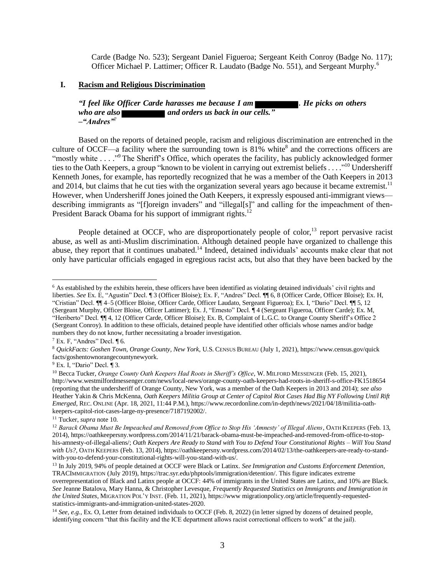Carde (Badge No. 523); Sergeant Daniel Figueroa; Sergeant Keith Conroy (Badge No. 117); Officer Michael P. Lattimer; Officer R. Laudato (Badge No. 551), and Sergeant Murphy.<sup>6</sup>

### **I. Racism and Religious Discrimination**

*"I feel like Officer Carde harasses me because I am . He picks on others who are also* **and orders us back in our cells.**" *–"Andres"*<sup>7</sup>

Based on the reports of detained people, racism and religious discrimination are entrenched in the culture of OCCF—a facility where the surrounding town is  $81\%$  white<sup>8</sup> and the corrections officers are "mostly white . . . ." The Sheriff's Office, which operates the facility, has publicly acknowledged former ties to the Oath Keepers, a group "known to be violent in carrying out extremist beliefs . . . ."<sup>10</sup> Undersheriff Kenneth Jones, for example, has reportedly recognized that he was a member of the Oath Keepers in 2013 and 2014, but claims that he cut ties with the organization several years ago because it became extremist.<sup>11</sup> However, when Undersheriff Jones joined the Oath Keepers, it expressly espoused anti-immigrant views describing immigrants as "[f]oreign invaders" and "illegal[s]" and calling for the impeachment of then-President Barack Obama for his support of immigrant rights.<sup>12</sup>

People detained at OCCF, who are disproportionately people of color,<sup>13</sup> report pervasive racist abuse, as well as anti-Muslim discrimination. Although detained people have organized to challenge this abuse, they report that it continues unabated.<sup>14</sup> Indeed, detained individuals' accounts make clear that not only have particular officials engaged in egregious racist acts, but also that they have been backed by the

<sup>6</sup> As established by the exhibits herein, these officers have been identified as violating detained individuals' civil rights and liberties. *See* Ex. E, "Agustin" Decl. ¶ 3 (Officer Bloise); Ex. F, "Andres" Decl. ¶¶ 6, 8 (Officer Carde, Officer Bloise); Ex. H, "Cristian" Decl. ¶¶ 4–5 (Officer Bloise, Officer Carde, Officer Laudato, Sergeant Figueroa); Ex. I, "Dario" Decl. ¶¶ 5, 12 (Sergeant Murphy, Officer Bloise, Officer Lattimer); Ex. J, "Ernesto" Decl. ¶ 4 (Sergeant Figueroa, Officer Carde); Ex. M, "Heriberto" Decl. ¶¶ 4, 12 (Officer Carde, Officer Bloise); Ex. B, Complaint of L.G.C. to Orange County Sheriff's Office 2 (Sergeant Conroy). In addition to these officials, detained people have identified other officials whose names and/or badge numbers they do not know, further necessitating a broader investigation.

 $7$  Ex. F, "Andres" Decl. ¶ 6.

<sup>8</sup> *QuickFacts: Goshen Town, Orange County, New York*, U.S. CENSUS BUREAU (July 1, 2021), https://www.census.gov/quick facts/goshentownorangecountynewyork.

<sup>9</sup> Ex. I, "Dario" Decl. ¶ 3.

<sup>10</sup> Becca Tucker, *Orange County Oath Keepers Had Roots in Sheriff's Office*, W. MILFORD MESSENGER (Feb. 15, 2021), http://www.westmilfordmessenger.com/news/local-news/orange-county-oath-keepers-had-roots-in-sheriff-s-office-FK1518654 (reporting that the undersheriff of Orange County, New York, was a member of the Oath Keepers in 2013 and 2014); *see also*  Heather Yakin & Chris McKenna, *Oath Keepers Militia Group at Center of Capitol Riot Cases Had Big NY Following Until Rift Emerged*, REC. ONLINE (Apr. 18, 2021, 11:44 P.M.), https://www.recordonline.com/in-depth/news/2021/04/18/militia-oathkeepers-capitol-riot-cases-large-ny-presence/7187192002/.

<sup>11</sup> Tucker, *supra* note 10.

<sup>&</sup>lt;sup>12</sup> Barack Obama Must Be Impeached and Removed from Office to Stop His 'Amnesty' of Illegal Aliens, OATH KEEPERS (Feb. 13, 2014), https://oathkeepersny.wordpress.com/2014/11/21/barack-obama-must-be-impeached-and-removed-from-office-to-stophis-amnesty-of-illegal-aliens/; *Oath Keepers Are Ready to Stand with You to Defend Your Constitutional Rights – Will You Stand with Us?*, OATH KEEPERS (Feb. 13, 2014), https://oathkeepersny.wordpress.com/2014/02/13/the-oathkeepers-are-ready-to-standwith-you-to-defend-your-constitutional-rights-will-you-stand-with-us/.

<sup>13</sup> In July 2019, 94% of people detained at OCCF were Black or Latinx. *See Immigration and Customs Enforcement Detention*, TRACIMMIGRATION (July 2019), https://trac.syr.edu/phptools/immigration/detention/. This figure indicates extreme

overrepresentation of Black and Latinx people at OCCF: 44% of immigrants in the United States are Latinx, and 10% are Black. *See* Jeanne Batalova, Mary Hanna, & Christopher Levesque, *Frequently Requested Statistics on Immigrants and Immigration in the United States*, MIGRATION POL'Y INST. (Feb. 11, 2021), https://www migrationpolicy.org/article/frequently-requestedstatistics-immigrants-and-immigration-united-states-2020.

<sup>&</sup>lt;sup>14</sup> See, e.g., Ex. O, Letter from detained individuals to OCCF (Feb. 8, 2022) (in letter signed by dozens of detained people, identifying concern "that this facility and the ICE department allows racist correctional officers to work" at the jail).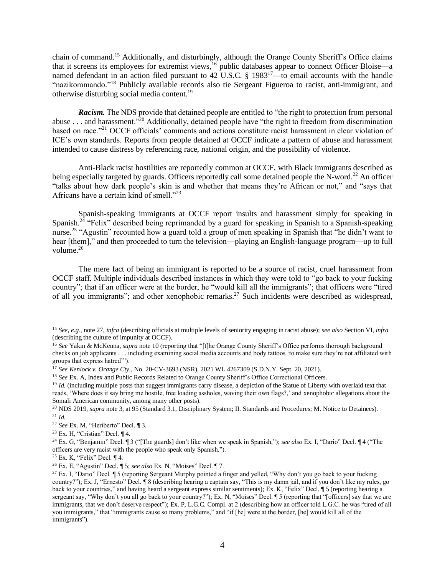chain of command.<sup>15</sup> Additionally, and disturbingly, although the Orange County Sheriff's Office claims that it screens its employees for extremist views,<sup>16</sup> public databases appear to connect Officer Bloise—a named defendant in an action filed pursuant to 42 U.S.C. § 1983<sup>17</sup>—to email accounts with the handle "nazikommando."<sup>18</sup> Publicly available records also tie Sergeant Figueroa to racist, anti-immigrant, and otherwise disturbing social media content.<sup>19</sup>

*Racism.* The NDS provide that detained people are entitled to "the right to protection from personal abuse . . . and harassment.<sup>320</sup> Additionally, detained people have "the right to freedom from discrimination" based on race."<sup>21</sup> OCCF officials' comments and actions constitute racist harassment in clear violation of ICE's own standards. Reports from people detained at OCCF indicate a pattern of abuse and harassment intended to cause distress by referencing race, national origin, and the possibility of violence.

Anti-Black racist hostilities are reportedly common at OCCF, with Black immigrants described as being especially targeted by guards. Officers reportedly call some detained people the N-word.<sup>22</sup> An officer "talks about how dark people's skin is and whether that means they're African or not," and "says that Africans have a certain kind of smell."<sup>23</sup>

Spanish-speaking immigrants at OCCF report insults and harassment simply for speaking in Spanish.<sup>24</sup> "Felix" described being reprimanded by a guard for speaking in Spanish to a Spanish-speaking nurse.<sup>25</sup> "Agustin" recounted how a guard told a group of men speaking in Spanish that "he didn't want to hear [them]," and then proceeded to turn the television—playing an English-language program—up to full volume. $26$ 

The mere fact of being an immigrant is reported to be a source of racist, cruel harassment from OCCF staff. Multiple individuals described instances in which they were told to "go back to your fucking country"; that if an officer were at the border, he "would kill all the immigrants"; that officers were "tired of all you immigrants"; and other xenophobic remarks.<sup>27</sup> Such incidents were described as widespread,

<sup>15</sup> *See, e.g.*, note 27, *infra* (describing officials at multiple levels of seniority engaging in racist abuse); *see also* Section VI, *infra* (describing the culture of impunity at OCCF).

<sup>16</sup> *See* Yakin & McKenna, *supra* note 10 (reporting that "[t]he Orange County Sheriff's Office performs thorough background checks on job applicants . . . including examining social media accounts and body tattoos 'to make sure they're not affiliated with groups that express hatred'").

<sup>17</sup> *See Kenlock v. Orange Cty.*, No. 20-CV-3693 (NSR), 2021 WL 4267309 (S.D.N.Y. Sept. 20, 2021).

<sup>&</sup>lt;sup>18</sup> *See* Ex. A, Index and Public Records Related to Orange County Sheriff's Office Correctional Officers.

<sup>&</sup>lt;sup>19</sup> *Id.* (including multiple posts that suggest immigrants carry disease, a depiction of the Statue of Liberty with overlaid text that reads, 'Where does it say bring me hostile, free loading assholes, waving their own flags?,' and xenophobic allegations about the Somali American community, among many other posts).

<sup>20</sup> NDS 2019, *supra* note 3, at 95 (Standard 3.1, Disciplinary System; II. Standards and Procedures; M. Notice to Detainees). <sup>21</sup> *Id.*

<sup>22</sup> *See* Ex. M, "Heriberto" Decl. ¶ 3.

<sup>&</sup>lt;sup>23</sup> Ex. H. "Cristian" Decl.  $\P$  4.

<sup>24</sup> Ex. G, "Benjamin" Decl. ¶ 3 ("[The guards] don't like when we speak in Spanish,"); *see also* Ex. I, "Dario" Decl. ¶ 4 ("The officers are very racist with the people who speak only Spanish.").

<sup>25</sup> Ex. K, "Felix" Decl. ¶ 4.

<sup>26</sup> Ex. E, "Agustin" Decl. ¶ 5; *see also* Ex. N, "Moises" Decl. ¶ 7.

<sup>&</sup>lt;sup>27</sup> Ex. I, "Dario" Decl. ¶ 5 (reporting Sergeant Murphy pointed a finger and yelled, "Why don't you go back to your fucking country?"); Ex. J, "Ernesto" Decl. ¶ 8 (describing hearing a captain say, "This is my damn jail, and if you don't like my rules, go back to your countries," and having heard a sergeant express similar sentiments); Ex. K, "Felix" Decl. ¶ 5 (reporting hearing a sergeant say, "Why don't you all go back to your country?"); Ex. N, "Moises" Decl. ¶ 5 (reporting that "[officers] say that we are immigrants, that we don't deserve respect"); Ex. P, L.G.C. Compl. at 2 (describing how an officer told L.G.C. he was "tired of all you immigrants," that "immigrants cause so many problems," and "if [he] were at the border, [he] would kill all of the immigrants").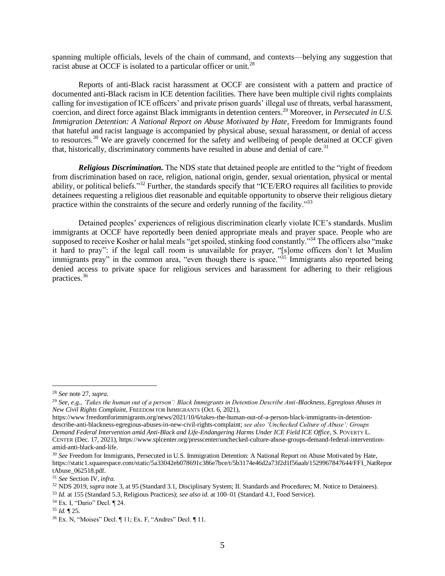spanning multiple officials, levels of the chain of command, and contexts—belying any suggestion that racist abuse at OCCF is isolated to a particular officer or unit.<sup>28</sup>

Reports of anti-Black racist harassment at OCCF are consistent with a pattern and practice of documented anti-Black racism in ICE detention facilities. There have been multiple civil rights complaints calling for investigation of ICE officers' and private prison guards' illegal use of threats, verbal harassment, coercion, and direct force against Black immigrants in detention centers.<sup>29</sup> Moreover, in *Persecuted in U.S. Immigration Detention: A National Report on Abuse Motivated by Hate*, Freedom for Immigrants found that hateful and racist language is accompanied by physical abuse, sexual harassment, or denial of access to resources.<sup>30</sup> We are gravely concerned for the safety and wellbeing of people detained at OCCF given that, historically, discriminatory comments have resulted in abuse and denial of care.<sup>31</sup>

*Religious Discrimination.* The NDS state that detained people are entitled to the "right of freedom from discrimination based on race, religion, national origin, gender, sexual orientation, physical or mental ability, or political beliefs."<sup>32</sup> Further, the standards specify that "ICE/ERO requires all facilities to provide detainees requesting a religious diet reasonable and equitable opportunity to observe their religious dietary practice within the constraints of the secure and orderly running of the facility."<sup>33</sup>

Detained peoples' experiences of religious discrimination clearly violate ICE's standards. Muslim immigrants at OCCF have reportedly been denied appropriate meals and prayer space. People who are supposed to receive Kosher or halal meals "get spoiled, stinking food constantly."<sup>34</sup> The officers also "make" it hard to pray": if the legal call room is unavailable for prayer, "[s]ome officers don't let Muslim immigrants pray" in the common area, "even though there is space."<sup>35</sup> Immigrants also reported being denied access to private space for religious services and harassment for adhering to their religious practices.<sup>36</sup>

<sup>28</sup> *See* note 27, *supra*.

<sup>29</sup> *See, e.g.*, *'Takes the human out of a person': Black Immigrants in Detention Describe Anti-Blackness, Egregious Abuses in New Civil Rights Complaint*, FREEDOM FOR IMMIGRANTS (Oct. 6, 2021),

https://www freedomforimmigrants.org/news/2021/10/6/takes-the-human-out-of-a-person-black-immigrants-in-detentiondescribe-anti-blackness-egregious-abuses-in-new-civil-rights-complaint; *see also 'Unchecked Culture of Abuse': Groups Demand Federal Intervention amid Anti-Black and Life-Endangering Harms Under ICE Field ICE Office*, S. POVERTY L. CENTER (Dec. 17, 2021), https://www.splcenter.org/presscenter/unchecked-culture-abuse-groups-demand-federal-interventionamid-anti-black-and-life.

<sup>30</sup> *See* Freedom for Immigrants, Persecuted in U.S. Immigration Detention: A National Report on Abuse Motivated by Hate, https://static1.squarespace.com/static/5a33042eb078691c386e7bce/t/5b3174e46d2a73f2d1f56aab/1529967847644/FFI\_NatRepor tAbuse\_062518.pdf.

<sup>31</sup> *See* Section IV, *infra*.

<sup>32</sup> NDS 2019, *supra* note 3, at 95 (Standard 3.1, Disciplinary System; II. Standards and Procedures; M. Notice to Detainees).

<sup>33</sup> *Id.* at 155 (Standard 5.3, Religious Practices); *see also id.* at 100–01 (Standard 4.1, Food Service).

<sup>34</sup> Ex. I, "Dario" Decl. ¶ 24.

<sup>35</sup> *Id.* ¶ 25.

<sup>36</sup> Ex. N, "Moises" Decl. ¶ 11; Ex. F, "Andres" Decl. ¶ 11.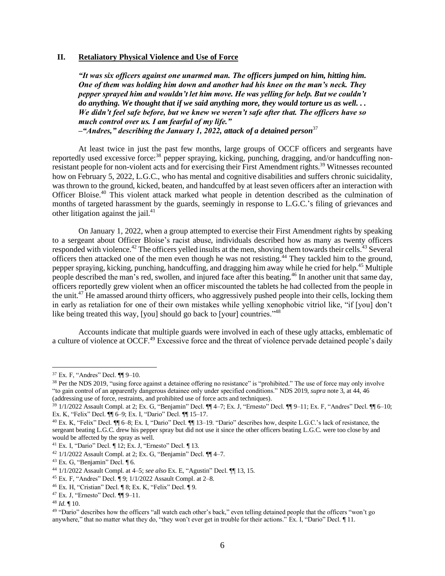### **II. Retaliatory Physical Violence and Use of Force**

*"It was six officers against one unarmed man. The officers jumped on him, hitting him. One of them was holding him down and another had his knee on the man's neck. They pepper sprayed him and wouldn't let him move. He was yelling for help. But we couldn't do anything. We thought that if we said anything more, they would torture us as well. . . We didn't feel safe before, but we knew we weren't safe after that. The officers have so much control over us. I am fearful of my life." –"Andres," describing the January 1, 2022, attack of a detained person*<sup>37</sup>

At least twice in just the past few months, large groups of OCCF officers and sergeants have reportedly used excessive force:<sup>38</sup> pepper spraying, kicking, punching, dragging, and/or handcuffing nonresistant people for non-violent acts and for exercising their First Amendment rights.<sup>39</sup> Witnesses recounted how on February 5, 2022, L.G.C., who has mental and cognitive disabilities and suffers chronic suicidality, was thrown to the ground, kicked, beaten, and handcuffed by at least seven officers after an interaction with Officer Bloise.<sup>40</sup> This violent attack marked what people in detention described as the culmination of months of targeted harassment by the guards, seemingly in response to L.G.C.'s filing of grievances and other litigation against the jail. $41$ 

On January 1, 2022, when a group attempted to exercise their First Amendment rights by speaking to a sergeant about Officer Bloise's racist abuse, individuals described how as many as twenty officers responded with violence.<sup>42</sup> The officers yelled insults at the men, shoving them towards their cells.<sup>43</sup> Several officers then attacked one of the men even though he was not resisting.<sup>44</sup> They tackled him to the ground, pepper spraying, kicking, punching, handcuffing, and dragging him away while he cried for help.<sup>45</sup> Multiple people described the man's red, swollen, and injured face after this beating.<sup>46</sup> In another unit that same day, officers reportedly grew violent when an officer miscounted the tablets he had collected from the people in the unit.<sup>47</sup> He amassed around thirty officers, who aggressively pushed people into their cells, locking them in early as retaliation for one of their own mistakes while yelling xenophobic vitriol like, "if [you] don't like being treated this way, [you] should go back to [your] countries."<sup>48</sup>

Accounts indicate that multiple guards were involved in each of these ugly attacks, emblematic of a culture of violence at OCCF.<sup>49</sup> Excessive force and the threat of violence pervade detained people's daily

<sup>37</sup> Ex. F, "Andres" Decl. ¶¶ 9–10.

<sup>&</sup>lt;sup>38</sup> Per the NDS 2019, "using force against a detainee offering no resistance" is "prohibited." The use of force may only involve "to gain control of an apparently dangerous detainee only under specified conditions." NDS 2019, *supra* note 3, at 44, 46 (addressing use of force, restraints, and prohibited use of force acts and techniques).

<sup>39</sup> 1/1/2022 Assault Compl. at 2; Ex. G, "Benjamin" Decl. ¶¶ 4–7; Ex. J, "Ernesto" Decl. ¶¶ 9–11; Ex. F, "Andres" Decl. ¶¶ 6–10; Ex. K, "Felix" Decl. ¶¶ 6–9; Ex. I, "Dario" Decl. ¶¶ 15–17.

<sup>40</sup> Ex. K, "Felix" Decl. ¶¶ 6–8; Ex. I, "Dario" Decl. ¶¶ 13–19. "Dario" describes how, despite L.G.C.'s lack of resistance, the sergeant beating L.G.C. drew his pepper spray but did not use it since the other officers beating L.G.C. were too close by and would be affected by the spray as well.

<sup>41</sup> Ex. I, "Dario" Decl. ¶ 12; Ex. J, "Ernesto" Decl. ¶ 13.

 $42$  1/1/2022 Assault Compl. at 2; Ex. G, "Benjamin" Decl.  $\P$  4–7.

 $43$  Ex. G, "Benjamin" Decl.  $\P$  6.

<sup>44</sup> 1/1/2022 Assault Compl. at 4–5; *see also* Ex. E, "Agustin" Decl. ¶¶ 13, 15.

<sup>45</sup> Ex. F, "Andres" Decl. ¶ 9; 1/1/2022 Assault Compl. at 2–8.

<sup>46</sup> Ex. H, "Cristian" Decl. ¶ 8; Ex. K, "Felix" Decl. ¶ 9.

 $47$  Ex. J, "Ernesto" Decl.  $\P\P$ 9-11.

 $48$  *Id.*  $\P$  10.

<sup>&</sup>lt;sup>49</sup> "Dario" describes how the officers "all watch each other's back," even telling detained people that the officers "won't go anywhere," that no matter what they do, "they won't ever get in trouble for their actions." Ex. I, "Dario" Decl. ¶ 11.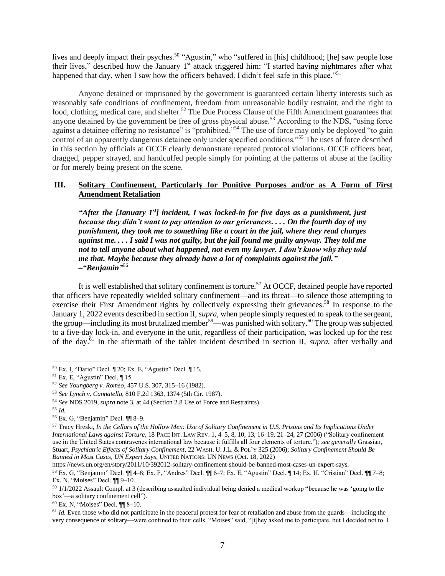lives and deeply impact their psyches.<sup>50</sup> "Agustin," who "suffered in [his] childhood; [he] saw people lose their lives," described how the January 1<sup>st</sup> attack triggered him: "I started having nightmares after what happened that day, when I saw how the officers behaved. I didn't feel safe in this place."<sup>51</sup>

Anyone detained or imprisoned by the government is guaranteed certain liberty interests such as reasonably safe conditions of confinement, freedom from unreasonable bodily restraint, and the right to food, clothing, medical care, and shelter.<sup>52</sup> The Due Process Clause of the Fifth Amendment guarantees that anyone detained by the government be free of gross physical abuse.<sup>53</sup> According to the NDS, "using force" against a detainee offering no resistance" is "prohibited."<sup>54</sup> The use of force may only be deployed "to gain control of an apparently dangerous detainee only under specified conditions."<sup>55</sup> The uses of force described in this section by officials at OCCF clearly demonstrate repeated protocol violations. OCCF officers beat, dragged, pepper strayed, and handcuffed people simply for pointing at the patterns of abuse at the facility or for merely being present on the scene.

# **III. Solitary Confinement, Particularly for Punitive Purposes and/or as A Form of First Amendment Retaliation**

*"After the [January 1st] incident, I was locked-in for five days as a punishment, just because they didn't want to pay attention to our grievances. . . . On the fourth day of my punishment, they took me to something like a court in the jail, where they read charges against me. . . . I said I was not guilty, but the jail found me guilty anyway. They told me not to tell anyone about what happened, not even my lawyer. I don't know why they told me that. Maybe because they already have a lot of complaints against the jail." –"Benjamin"* 56

It is well established that solitary confinement is torture.<sup>57</sup> At OCCF, detained people have reported that officers have repeatedly wielded solitary confinement—and its threat—to silence those attempting to exercise their First Amendment rights by collectively expressing their grievances.<sup>58</sup> In response to the January 1, 2022 events described in section II, *supra*, when people simply requested to speak to the sergeant, the group—including its most brutalized member<sup>59</sup>—was punished with solitary.<sup>60</sup> The group was subjected to a five-day lock-in, and everyone in the unit, regardless of their participation, was locked up for the rest of the day.<sup>61</sup> In the aftermath of the tablet incident described in section II, *supra*, after verbally and

<sup>60</sup> Ex. N, "Moises" Decl. ¶¶ 8–10.

<sup>50</sup> Ex. I, "Dario" Decl. ¶ 20; Ex. E, "Agustin" Decl. ¶ 15.

 $51$  Ex. E, "Agustin" Decl.  $\P$  15.

<sup>52</sup> *See Youngberg v. Romeo*, 457 U.S. 307, 315–16 (1982).

<sup>53</sup> *See Lynch v. Cannatella*, 810 F.2d 1363, 1374 (5th Cir. 1987).

<sup>54</sup> *See* NDS 2019, *supra* note 3, at 44 (Section 2.8 Use of Force and Restraints).

<sup>55</sup> *Id*.

<sup>56</sup> Ex. G, "Benjamin" Decl. ¶¶ 8–9.

<sup>57</sup> Tracy Hreski, *In the Cellars of the Hollow Men: Use of Solitary Confinement in U.S. Prisons and Its Implications Under International Laws against Torture*, 18 PACE INT. LAW REV. 1, 4–5, 8, 10, 13, 16–19, 21–24, 27 (2006) ("Solitary confinement use in the United States contravenes international law because it fulfills all four elements of torture."); *see generally* Grassian, Stuart, *Psychiatric Effects of Solitary Confinement*, 22 WASH. U.J.L. & POL'Y 325 (2006); *Solitary Confinement Should Be Banned in Most Cases, UN Expert Says*, UNITED NATIONS: UN NEWS (Oct. 18, 2022)

https://news.un.org/en/story/2011/10/392012-solitary-confinement-should-be-banned-most-cases-un-expert-says.

<sup>58</sup> Ex. G, "Benjamin" Decl. ¶¶ 4–8; Ex. F, "Andres" Decl. ¶¶ 6–7; Ex. E, "Agustin" Decl. ¶ 14; Ex. H, "Cristian" Decl. ¶¶ 7–8; Ex. N, "Moises" Decl. ¶¶ 9–10.

<sup>59</sup> 1/1/2022 Assault Compl. at 3 (describing assaulted individual being denied a medical workup "because he was 'going to the box'—a solitary confinement cell").

<sup>&</sup>lt;sup>61</sup> *Id*. Even those who did not participate in the peaceful protest for fear of retaliation and abuse from the guards—including the very consequence of solitary—were confined to their cells. "Moises" said, "[t]hey asked me to participate, but I decided not to. I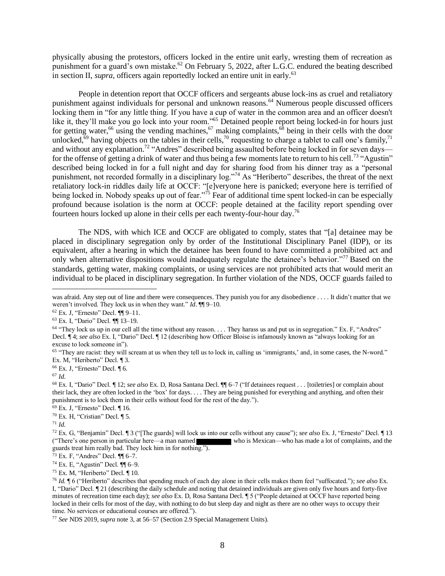physically abusing the protestors, officers locked in the entire unit early, wresting them of recreation as punishment for a guard's own mistake.<sup>62</sup> On February 5, 2022, after L.G.C. endured the beating described in section II, *supra*, officers again reportedly locked an entire unit in early.<sup>63</sup>

People in detention report that OCCF officers and sergeants abuse lock-ins as cruel and retaliatory punishment against individuals for personal and unknown reasons.<sup>64</sup> Numerous people discussed officers locking them in "for any little thing. If you have a cup of water in the common area and an officer doesn't like it, they'll make you go lock into your room."<sup>65</sup> Detained people report being locked-in for hours just for getting water,<sup>66</sup> using the vending machines,<sup>67</sup> making complaints,<sup>68</sup> being in their cells with the door unlocked,<sup>69</sup> having objects on the tables in their cells,<sup>70</sup> requesting to charge a tablet to call one's family,<sup>71</sup> and without any explanation.<sup>72</sup> "Andres" described being assaulted before being locked in for seven days for the offense of getting a drink of water and thus being a few moments late to return to his cell.<sup>73</sup> "Agustin" described being locked in for a full night and day for sharing food from his dinner tray as a "personal punishment, not recorded formally in a disciplinary log."<sup>74</sup> As "Heriberto" describes, the threat of the next retaliatory lock-in riddles daily life at OCCF: "[e]veryone here is panicked; everyone here is terrified of being locked in. Nobody speaks up out of fear."<sup>75</sup> Fear of additional time spent locked-in can be especially profound because isolation is the norm at OCCF: people detained at the facility report spending over fourteen hours locked up alone in their cells per each twenty-four-hour day.<sup>76</sup>

The NDS, with which ICE and OCCF are obligated to comply, states that "[a] detainee may be placed in disciplinary segregation only by order of the Institutional Disciplinary Panel (IDP), or its equivalent, after a hearing in which the detainee has been found to have committed a prohibited act and only when alternative dispositions would inadequately regulate the detainee's behavior."<sup>77</sup> Based on the standards, getting water, making complaints, or using services are not prohibited acts that would merit an individual to be placed in disciplinary segregation. In further violation of the NDS, OCCF guards failed to

<sup>66</sup> Ex. J, "Ernesto" Decl. ¶ 6.

<sup>69</sup> Ex. J, "Ernesto" Decl. ¶ 16.

<sup>75</sup> Ex. M, "Heriberto" Decl. ¶ 10.

was afraid. Any step out of line and there were consequences. They punish you for any disobedience . . . . It didn't matter that we weren't involved. They lock us in when they want." *Id*. ¶¶ 9–10.

<sup>62</sup> Ex. J, "Ernesto" Decl. ¶¶ 9–11.

<sup>63</sup> Ex. I, "Dario" Decl. ¶¶ 13–19.

 $64$  "They lock us up in our cell all the time without any reason.... They harass us and put us in segregation." Ex. F, "Andres" Decl. ¶ 4; *see also* Ex. I, "Dario" Decl. ¶ 12 (describing how Officer Bloise is infamously known as "always looking for an excuse to lock someone in").

<sup>65</sup> "They are racist: they will scream at us when they tell us to lock in, calling us 'immigrants,' and, in some cases, the N-word." Ex. M, "Heriberto" Decl. ¶ 3.

<sup>67</sup> *Id*.

<sup>68</sup> Ex. I, "Dario" Decl. ¶ 12; *see also* Ex. D, Rosa Santana Decl. ¶¶ 6–7 ("If detainees request . . . [toiletries] or complain about their lack, they are often locked in the 'box' for days. . . . They are being punished for everything and anything, and often their punishment is to lock them in their cells without food for the rest of the day.").

 $70$  Ex. H, "Cristian" Decl.  $\P$  5.

<sup>71</sup> *Id*.

<sup>72</sup> Ex. G, "Benjamin" Decl. ¶ 3 ("[The guards] will lock us into our cells without any cause"); *see also* Ex. J, "Ernesto" Decl. ¶ 13 who is Mexican—who has made a lot of complaints, and the guards treat him really bad. They lock him in for nothing.").

 $73$  Ex. F, "Andres" Decl.  $\P$  $6-7$ .

<sup>74</sup> Ex. E, "Agustin" Decl. ¶¶ 6–9.

<sup>76</sup> *Id.* ¶ 6 ("Heriberto" describes that spending much of each day alone in their cells makes them feel "suffocated."); *see also* Ex. I, "Dario" Decl. ¶ 21 (describing the daily schedule and noting that detained individuals are given only five hours and forty-five minutes of recreation time each day); *see also* Ex. D, Rosa Santana Decl. ¶ 5 ("People detained at OCCF have reported being locked in their cells for most of the day, with nothing to do but sleep day and night as there are no other ways to occupy their time. No services or educational courses are offered.").

<sup>77</sup> *See* NDS 2019, *supra* note 3, at 56–57 (Section 2.9 Special Management Units).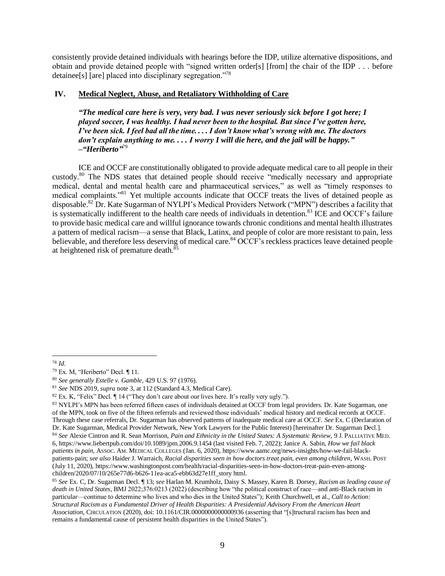consistently provide detained individuals with hearings before the IDP, utilize alternative dispositions, and obtain and provide detained people with "signed written order[s] [from] the chair of the IDP . . . before detainee[s] [are] placed into disciplinary segregation."<sup>78</sup>

# **IV. Medical Neglect, Abuse, and Retaliatory Withholding of Care**

*"The medical care here is very, very bad. I was never seriously sick before I got here; I played soccer, I was healthy. I had never been to the hospital. But since I've gotten here, I've been sick. I feel bad all the time. . . . I don't know what's wrong with me. The doctors don't explain anything to me. . . . I worry I will die here, and the jail will be happy." –"Heriberto"* 79

ICE and OCCF are constitutionally obligated to provide adequate medical care to all people in their custody.<sup>80</sup> The NDS states that detained people should receive "medically necessary and appropriate medical, dental and mental health care and pharmaceutical services," as well as "timely responses to medical complaints."<sup>81</sup> Yet multiple accounts indicate that OCCF treats the lives of detained people as disposable.<sup>82</sup> Dr. Kate Sugarman of NYLPI's Medical Providers Network ("MPN") describes a facility that is systematically indifferent to the health care needs of individuals in detention.<sup>83</sup> ICE and OCCF's failure to provide basic medical care and willful ignorance towards chronic conditions and mental health illustrates a pattern of medical racism—a sense that Black, Latinx, and people of color are more resistant to pain, less believable, and therefore less deserving of medical care.<sup>84</sup> OCCF's reckless practices leave detained people at heightened risk of premature death.<sup>85</sup>

<sup>78</sup> *Id*.

<sup>79</sup> Ex. M, "Heriberto" Decl. ¶ 11.

<sup>80</sup> *See generally Estelle v. Gamble*, 429 U.S. 97 (1976).

<sup>81</sup> *See* NDS 2019, *supra* note 3, at 112 (Standard 4.3, Medical Care).

 $82$  Ex. K, "Felix" Decl.  $\P$  14 ("They don't care about our lives here. It's really very ugly.").

<sup>83</sup> NYLPI's MPN has been referred fifteen cases of individuals detained at OCCF from legal providers. Dr. Kate Sugarman, one of the MPN, took on five of the fifteen referrals and reviewed those individuals' medical history and medical records at OCCF. Through these case referrals, Dr. Sugarman has observed patterns of inadequate medical care at OCCF. *See* Ex. C (Declaration of Dr. Kate Sugarman, Medical Provider Network, New York Lawyers for the Public Interest) [hereinafter Dr. Sugarman Decl.].

<sup>84</sup> *See* Alexie Cintron and R. Sean Morrison, *Pain and Ethnicity in the United States: A Systematic Review*, 9 J. PALLIATIVE MED. 6, https://www.liebertpub.com/doi/10.1089/jpm.2006.9.1454 (last visited Feb. 7, 2022); Janice A. Sabin, *How we fail black patients in pain*, ASSOC. AM. MEDICAL COLLEGES (Jan. 6, 2020), https://www.aamc.org/news-insights/how-we-fail-blackpatients-pain; *see also* Haider J. Warraich, *Racial disparities seen in how doctors treat pain, even among children*, WASH. POST (July 11, 2020), https://www.washingtonpost.com/health/racial-disparities-seen-in-how-doctors-treat-pain-even-amongchildren/2020/07/10/265e77d6-b626-11ea-aca5-ebb63d27e1ff\_story html.

<sup>85</sup> *See* Ex. C, Dr. Sugarman Decl. ¶ 13; *see* Harlan M. Krumholz, Daisy S. Massey, Karen B. Dorsey, *Racism as leading cause of death in United States*, BMJ 2022;376:0213 (2022) (describing how "the political construct of race—and anti-Black racism in particular—continue to determine who lives and who dies in the United States"); Keith Churchwell, et al., *Call to Action: Structural Racism as a Fundamental Driver of Health Disparities: A Presidential Advisory From the American Heart Association*, CIRCULATION (2020), doi: 10.1161/CIR.0000000000000936 (asserting that "[s]tructural racism has been and remains a fundamental cause of persistent health disparities in the United States").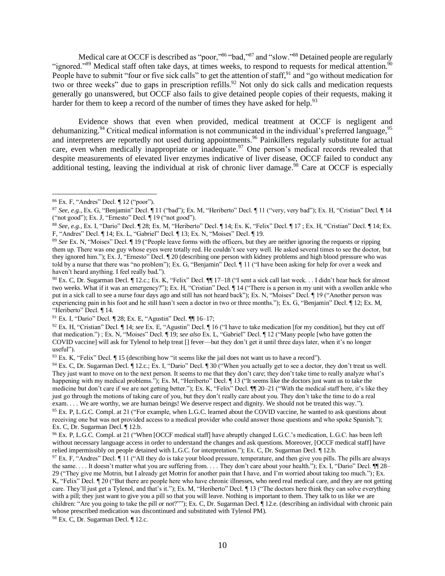Medical care at OCCF is described as "poor,"86 "bad,"87 and "slow."88 Detained people are regularly "ignored."<sup>89</sup> Medical staff often take days, at times weeks, to respond to requests for medical attention.<sup>90</sup> People have to submit "four or five sick calls" to get the attention of staff, and "go without medication for two or three weeks" due to gaps in prescription refills.<sup>92</sup> Not only do sick calls and medication requests generally go unanswered, but OCCF also fails to give detained people copies of their requests, making it harder for them to keep a record of the number of times they have asked for help.<sup>93</sup>

Evidence shows that even when provided, medical treatment at OCCF is negligent and dehumanizing.<sup>94</sup> Critical medical information is not communicated in the individual's preferred language,<sup>95</sup> and interpreters are reportedly not used during appointments.<sup>96</sup> Painkillers regularly substitute for actual care, even when medically inappropriate or inadequate.<sup>97</sup> One person's medical records revealed that despite measurements of elevated liver enzymes indicative of liver disease, OCCF failed to conduct any additional testing, leaving the individual at risk of chronic liver damage.<sup>98</sup> Care at OCCF is especially

<sup>98</sup> Ex. C, Dr. Sugarman Decl. ¶ 12.c.

<sup>86</sup> Ex. F, "Andres" Decl. ¶ 12 ("poor").

<sup>87</sup> *See, e.g.*, Ex. G, "Benjamin" Decl. ¶ 11 ("bad"); Ex. M, "Heriberto" Decl. ¶ 11 ("very, very bad"); Ex. H, "Cristian" Decl. ¶ 14 ("not good"); Ex. J, "Ernesto" Decl. ¶ 19 ("not good").

<sup>88</sup> *See, e.g.*, Ex. I, "Dario" Decl. ¶ 28; Ex. M, "Heriberto" Decl. ¶ 14; Ex. K, "Felix" Decl. ¶ 17 ; Ex. H, "Cristian" Decl. ¶ 14; Ex. F, "Andres" Decl. ¶ 14; Ex. L, "Gabriel" Decl. ¶ 13; Ex. N, "Moises" Decl. ¶ 19.

<sup>89</sup> *See* Ex. N, "Moises" Decl. ¶ 19 ("People leave forms with the officers, but they are neither ignoring the requests or ripping them up. There was one guy whose eyes were totally red. He couldn't see very well. He asked several times to see the doctor, but they ignored him."); Ex. J, "Ernesto" Decl. ¶ 20 (describing one person with kidney problems and high blood pressure who was told by a nurse that there was "no problem"); Ex. G, "Benjamin" Decl. ¶ 11 ("I have been asking for help for over a week and haven't heard anything. I feel really bad.").

<sup>90</sup> Ex. C, Dr. Sugarman Decl. ¶ 12.c.; Ex. K, "Felix" Decl. ¶¶ 17–18 ("I sent a sick call last week. . . I didn't hear back for almost two weeks. What if it was an emergency?"); Ex. H, "Cristian" Decl. ¶ 14 ("There is a person in my unit with a swollen ankle who put in a sick call to see a nurse four days ago and still has not heard back"); Ex. N, "Moises" Decl. ¶ 19 ("Another person was experiencing pain in his foot and he still hasn't seen a doctor in two or three months."); Ex. G, "Benjamin" Decl. ¶ 12; Ex. M, "Heriberto" Decl. ¶ 14.

<sup>91</sup> Ex. I, "Dario" Decl. ¶ 28; Ex. E, "Agustin" Decl. ¶¶ 16–17;

<sup>92</sup> Ex. H, "Cristian" Decl. ¶ 14; *see* Ex. E, "Agustin" Decl. ¶ 16 ("I have to take medication [for my condition], but they cut off that medication.") ; Ex. N, "Moises" Decl. ¶ 19; *see also* Ex. L, "Gabriel" Decl. ¶ 12 ("Many people [who have gotten the COVID vaccine] will ask for Tylenol to help treat [] fever—but they don't get it until three days later, when it's no longer useful").

 $93$  Ex. K, "Felix" Decl.  $\P$  15 (describing how "it seems like the jail does not want us to have a record").

<sup>94</sup> Ex. C, Dr. Sugarman Decl. ¶ 12.c.; Ex. I, "Dario" Decl. ¶ 30 ("When you actually get to see a doctor, they don't treat us well. They just want to move on to the next person. It seems to me that they don't care; they don't take time to really analyze what's happening with my medical problems."); Ex. M, "Heriberto" Decl.  $\P$  13 ("It seems like the doctors just want us to take the medicine but don't care if we are not getting better."); Ex. K, "Felix" Decl. ¶ 20–21 ("With the medical staff here, it's like they just go through the motions of taking care of you, but they don't really care about you. They don't take the time to do a real exam. . . . We are worthy, we are human beings! We deserve respect and dignity. We should not be treated this way.").

<sup>&</sup>lt;sup>95</sup> Ex. P, L.G.C. Compl. at 21 ("For example, when L.G.C. learned about the COVID vaccine, he wanted to ask questions about receiving one but was not provided access to a medical provider who could answer those questions and who spoke Spanish."); Ex. C, Dr. Sugarman Decl. ¶ 12.b.

<sup>&</sup>lt;sup>96</sup> Ex. P, L.G.C. Compl. at 21 ("When [OCCF medical staff] have abruptly changed L.G.C.'s medication, L.G.C. has been left without necessary language access in order to understand the changes and ask questions. Moreover, [OCCF medical staff] have relied impermissibly on people detained with L.G.C. for interpretation."); Ex. C, Dr. Sugarman Decl. ¶ 12.b.

 $97$  Ex. F, "Andres" Decl.  $\P$  11 ("All they do is take your blood pressure, temperature, and then give you pills. The pills are always the same. . . . It doesn't matter what you are suffering from. . . . They don't care about your health."); Ex. I, "Dario" Decl.  $\P$  28– 29 ("They give me Motrin, but I already get Motrin for another pain that I have, and I'm worried about taking too much."); Ex. K, "Felix" Decl.  $\parallel$  20 ("But there are people here who have chronic illnesses, who need real medical care, and they are not getting care. They'll just get a Tylenol, and that's it."); Ex. M, "Heriberto" Decl. ¶ 13 ("The doctors here think they can solve everything with a pill; they just want to give you a pill so that you will leave. Nothing is important to them. They talk to us like we are children: "Are you going to take the pill or not?""); Ex. C, Dr. Sugarman Decl. ¶ 12.e. (describing an individual with chronic pain whose prescribed medication was discontinued and substituted with Tylenol PM).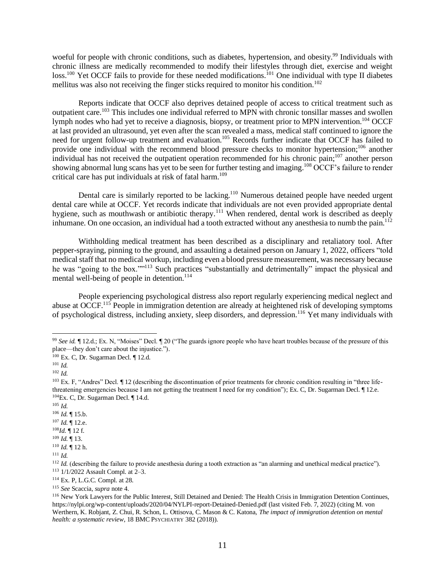woeful for people with chronic conditions, such as diabetes, hypertension, and obesity.<sup>99</sup> Individuals with chronic illness are medically recommended to modify their lifestyles through diet, exercise and weight loss.<sup>100</sup> Yet OCCF fails to provide for these needed modifications.<sup>101</sup> One individual with type II diabetes mellitus was also not receiving the finger sticks required to monitor his condition.<sup>102</sup>

Reports indicate that OCCF also deprives detained people of access to critical treatment such as outpatient care.<sup>103</sup> This includes one individual referred to MPN with chronic tonsillar masses and swollen lymph nodes who had yet to receive a diagnosis, biopsy, or treatment prior to MPN intervention.<sup>104</sup> OCCF at last provided an ultrasound, yet even after the scan revealed a mass, medical staff continued to ignore the need for urgent follow-up treatment and evaluation.<sup>105</sup> Records further indicate that OCCF has failed to provide one individual with the recommend blood pressure checks to monitor hypertension;<sup>106</sup> another individual has not received the outpatient operation recommended for his chronic pain;<sup>107</sup> another person showing abnormal lung scans has yet to be seen for further testing and imaging.<sup>108</sup> OCCF's failure to render critical care has put individuals at risk of fatal harm.<sup>109</sup>

Dental care is similarly reported to be lacking.<sup>110</sup> Numerous detained people have needed urgent dental care while at OCCF. Yet records indicate that individuals are not even provided appropriate dental hygiene, such as mouthwash or antibiotic therapy.<sup>111</sup> When rendered, dental work is described as deeply inhumane. On one occasion, an individual had a tooth extracted without any anesthesia to numb the pain.<sup>112</sup>

Withholding medical treatment has been described as a disciplinary and retaliatory tool. After pepper-spraying, pinning to the ground, and assaulting a detained person on January 1, 2022, officers "told medical staff that no medical workup, including even a blood pressure measurement, was necessary because he was "going to the box.""<sup>113</sup> Such practices "substantially and detrimentally" impact the physical and mental well-being of people in detention.<sup>114</sup>

People experiencing psychological distress also report regularly experiencing medical neglect and abuse at OCCF.<sup>115</sup> People in immigration detention are already at heightened risk of developing symptoms of psychological distress, including anxiety, sleep disorders, and depression.<sup>116</sup> Yet many individuals with

- $105$  *Id.*
- <sup>106</sup> *Id.* ¶ 15.b.

<sup>109</sup> *Id.* ¶ 13.

<sup>99</sup> *See id.* ¶ 12.d.; Ex. N, "Moises" Decl. ¶ 20 ("The guards ignore people who have heart troubles because of the pressure of this place—they don't care about the injustice.").

<sup>100</sup> Ex. C, Dr. Sugarman Decl. ¶ 12.d.

 $101$  *Id.* 

<sup>102</sup> *Id.*

<sup>&</sup>lt;sup>103</sup> Ex. F, "Andres" Decl. I 12 (describing the discontinuation of prior treatments for chronic condition resulting in "three lifethreatening emergencies because I am not getting the treatment I need for my condition"); Ex. C, Dr. Sugarman Decl. ¶ 12.e.  $104$ Ex. C, Dr. Sugarman Decl. ¶ 14.d.

 $107$  *Id.*  $\P$  12.e.

 $108$ *Id.*  $\blacksquare$  12 f.

<sup>110</sup> *Id.* ¶ 12 h.

<sup>111</sup> *Id.*

<sup>&</sup>lt;sup>112</sup> *Id.* (describing the failure to provide anesthesia during a tooth extraction as "an alarming and unethical medical practice"). <sup>113</sup> 1/1/2022 Assault Compl. at 2–3.

<sup>114</sup> Ex. P, L.G.C. Compl. at 28.

<sup>115</sup> *See* Scaccia, *supra* note 4.

<sup>116</sup> New York Lawyers for the Public Interest, Still Detained and Denied: The Health Crisis in Immigration Detention Continues, https://nylpi.org/wp-content/uploads/2020/04/NYLPI-report-Detained-Denied.pdf (last visited Feb. 7, 2022) (citing M. von Werthern, K. Robjant, Z. Chui, R. Schon, L. Ottisova, C. Mason & C. Katona, *The impact of immigration detention on mental health: a systematic review*, 18 BMC PSYCHIATRY 382 (2018)).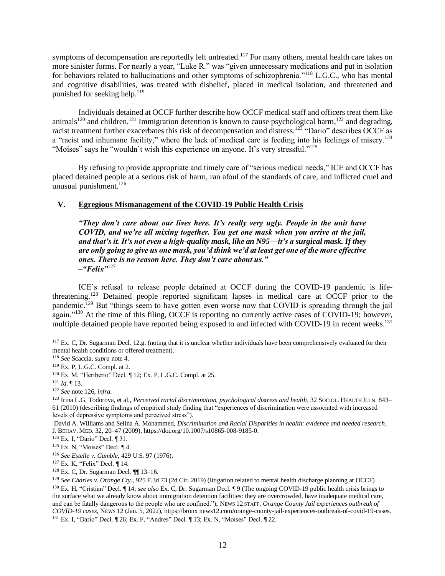symptoms of decompensation are reportedly left untreated.<sup>117</sup> For many others, mental health care takes on more sinister forms. For nearly a year, "Luke R." was "given unnecessary medications and put in isolation for behaviors related to hallucinations and other symptoms of schizophrenia."<sup>118</sup> L.G.C., who has mental and cognitive disabilities, was treated with disbelief, placed in medical isolation, and threatened and punished for seeking help.<sup>119</sup>

Individuals detained at OCCF further describe how OCCF medical staff and officers treat them like animals<sup>120</sup> and children.<sup>121</sup> Immigration detention is known to cause psychological harm,<sup>122</sup> and degrading, racist treatment further exacerbates this risk of decompensation and distress.<sup>123</sup> "Dario" describes OCCF as a "racist and inhumane facility," where the lack of medical care is feeding into his feelings of misery.<sup>124</sup> "Moises" says he "wouldn't wish this experience on anyone. It's very stressful."<sup>125</sup>

By refusing to provide appropriate and timely care of "serious medical needs," ICE and OCCF has placed detained people at a serious risk of harm, ran afoul of the standards of care, and inflicted cruel and unusual punishment.<sup>126</sup>

# **V. Egregious Mismanagement of the COVID-19 Public Health Crisis**

*"They don't care about our lives here. It's really very ugly. People in the unit have COVID, and we're all mixing together. You get one mask when you arrive at the jail, and that's it. It's not even a high-quality mask, like an N95—it's a surgical mask. If they are only going to give us one mask, you'd think we'd at least get one of the more effective ones. There is no reason here. They don't care about us." –"Felix"*<sup>127</sup>

ICE's refusal to release people detained at OCCF during the COVID-19 pandemic is lifethreatening.<sup>128</sup> Detained people reported significant lapses in medical care at OCCF prior to the pandemic.<sup>129</sup> But "things seem to have gotten even worse now that COVID is spreading through the jail again."<sup>130</sup> At the time of this filing, OCCF is reporting no currently active cases of COVID-19; however, multiple detained people have reported being exposed to and infected with COVID-19 in recent weeks.<sup>131</sup>

<sup>117</sup> Ex. C, Dr. Sugarman Decl. 12.g. (noting that it is unclear whether individuals have been comprehensively evaluated for their mental health conditions or offered treatment).

<sup>118</sup> *See* Scaccia, *supra* note 4.

<sup>119</sup> Ex. P, L.G.C. Compl. at 2.

<sup>120</sup> Ex. M, "Heriberto" Decl. ¶ 12; Ex. P, L.G.C. Compl. at 25.

<sup>121</sup> *Id*. ¶ 13.

<sup>122</sup> *See* note 126, *infra*.

<sup>123</sup> Irina L.G. Todorova, et al., *Perceived racial discrimination, psychological distress and health*, 32 SOCIOL. HEALTH ILLN. 843– 61 (2010) (describing findings of empirical study finding that "experiences of discrimination were associated with increased levels of depressive symptoms and perceived stress").

David A. Williams and Selina A. Mohammed, *Discrimination and Racial Disparities in health: evidence and needed research*, J. BEHAV. MED. 32, 20–47 (2009), https://doi.org/10.1007/s10865-008-9185-0.

<sup>124</sup> Ex. I, "Dario" Decl. ¶ 31.

<sup>125</sup> Ex. N, "Moises" Decl. ¶ 4.

<sup>126</sup> *See Estelle v. Gamble*, 429 U.S. 97 (1976).

<sup>127</sup> Ex. K, "Felix" Decl. ¶ 14.

<sup>128</sup> Ex. C, Dr. Sugarman Decl. ¶¶ 13–16.

<sup>&</sup>lt;sup>129</sup> See Charles v. Orange Cty., 925 F.3d 73 (2d Cir. 2019) (litigation related to mental health discharge planning at OCCF). <sup>130</sup> Ex. H, "Cristian" Decl. ¶ 14; *see also* Ex. C, Dr. Sugarman Decl. ¶ 9 (The ongoing COVID-19 public health crisis brings to the surface what we already know about immigration detention facilities: they are overcrowded, have inadequate medical care, and can be fatally dangerous to the people who are confined."); NEWS 12 STAFF, *Orange County Jail experiences outbreak of COVID-19 cases*, NEWS 12 (Jan. 5, 2022), https://bronx news12.com/orange-county-jail-experiences-outbreak-of-covid-19-cases. <sup>131</sup> Ex. I, "Dario" Decl. ¶ 26; Ex. F, "Andres" Decl. ¶ 13; Ex. N, "Moises" Decl. ¶ 22.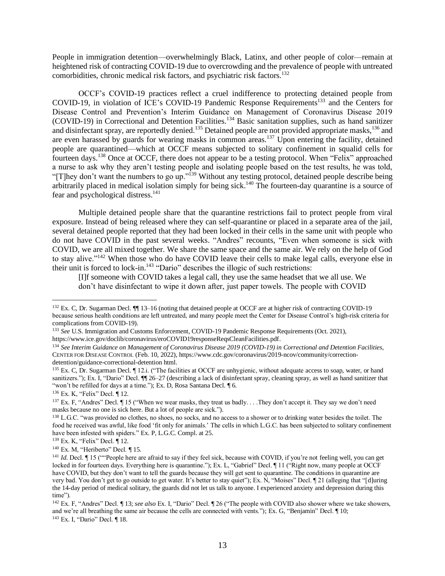People in immigration detention—overwhelmingly Black, Latinx, and other people of color—remain at heightened risk of contracting COVID-19 due to overcrowding and the prevalence of people with untreated comorbidities, chronic medical risk factors, and psychiatric risk factors.<sup>132</sup>

OCCF's COVID-19 practices reflect a cruel indifference to protecting detained people from COVID-19, in violation of ICE's COVID-19 Pandemic Response Requirements<sup>133</sup> and the Centers for Disease Control and Prevention's Interim Guidance on Management of Coronavirus Disease 2019 (COVID-19) in Correctional and Detention Facilities.<sup>134</sup> Basic sanitation supplies, such as hand sanitizer and disinfectant spray, are reportedly denied.<sup>135</sup> Detained people are not provided appropriate masks,<sup>136</sup> and are even harassed by guards for wearing masks in common areas.<sup>137</sup> Upon entering the facility, detained people are quarantined—which at OCCF means subjected to solitary confinement in squalid cells for fourteen days.<sup>138</sup> Once at OCCF, there does not appear to be a testing protocol. When "Felix" approached a nurse to ask why they aren't testing people and isolating people based on the test results, he was told, "[T]hey don't want the numbers to go up."<sup>139</sup> Without any testing protocol, detained people describe being arbitrarily placed in medical isolation simply for being sick.<sup>140</sup> The fourteen-day quarantine is a source of fear and psychological distress.<sup>141</sup>

Multiple detained people share that the quarantine restrictions fail to protect people from viral exposure. Instead of being released where they can self-quarantine or placed in a separate area of the jail, several detained people reported that they had been locked in their cells in the same unit with people who do not have COVID in the past several weeks. "Andres" recounts, "Even when someone is sick with COVID, we are all mixed together. We share the same space and the same air. We rely on the help of God to stay alive."<sup>142</sup> When those who do have COVID leave their cells to make legal calls, everyone else in their unit is forced to lock-in. $143$  "Dario" describes the illogic of such restrictions:

[I]f someone with COVID takes a legal call, they use the same headset that we all use. We don't have disinfectant to wipe it down after, just paper towels. The people with COVID

<sup>136</sup> Ex. K, "Felix" Decl. ¶ 12.

<sup>&</sup>lt;sup>132</sup> Ex. C, Dr. Sugarman Decl. ¶ 13–16 (noting that detained people at OCCF are at higher risk of contracting COVID-19 because serious health conditions are left untreated, and many people meet the Center for Disease Control's high-risk criteria for complications from COVID-19).

<sup>133</sup> *See* U.S. Immigration and Customs Enforcement, COVID-19 Pandemic Response Requirements (Oct. 2021), https://www.ice.gov/doclib/coronavirus/eroCOVID19responseReqsCleanFacilities.pdf.

<sup>134</sup> *See Interim Guidance on Management of Coronavirus Disease 2019 (COVID-19) in Correctional and Detention Facilities*, CENTER FOR DISEASE CONTROL (Feb. 10, 2022), https://www.cdc.gov/coronavirus/2019-ncov/community/correctiondetention/guidance-correctional-detention html.

<sup>&</sup>lt;sup>135</sup> Ex. C, Dr. Sugarman Decl. ¶ 12.i. ("The facilities at OCCF are unhygienic, without adequate access to soap, water, or hand sanitizers."); Ex. I, "Dario" Decl.  $\P$ [26–27 (describing a lack of disinfectant spray, cleaning spray, as well as hand sanitizer that "won't be refilled for days at a time."); Ex. D, Rosa Santana Decl. [6.]

 $137$  Ex. F, "Andres" Decl.  $\P$  15 ("When we wear masks, they treat us badly... They don't accept it. They say we don't need masks because no one is sick here. But a lot of people are sick.").

<sup>&</sup>lt;sup>138</sup> L.G.C. "was provided no clothes, no shoes, no socks, and no access to a shower or to drinking water besides the toilet. The food he received was awful, like food 'fit only for animals.' The cells in which L.G.C. has been subjected to solitary confinement have been infested with spiders." Ex. P, L.G.C. Compl. at 25.

<sup>139</sup> Ex. K, "Felix" Decl. ¶ 12.

 $140$  Ex. M. "Heriberto" Decl. ¶ 15.

<sup>&</sup>lt;sup>141</sup> *Id*. Decl. ¶ 15 (""People here are afraid to say if they feel sick, because with COVID, if you're not feeling well, you can get locked in for fourteen days. Everything here is quarantine."); Ex. L, "Gabriel" Decl. ¶ 11 ("Right now, many people at OCCF have COVID, but they don't want to tell the guards because they will get sent to quarantine. The conditions in quarantine are very bad. You don't get to go outside to get water. It's better to stay quiet"); Ex. N, "Moises" Decl. ¶ 21 (alleging that "[d]uring the 14-day period of medical solitary, the guards did not let us talk to anyone. I experienced anxiety and depression during this time").

<sup>142</sup> Ex. F, "Andres" Decl. ¶ 13; *see also* Ex. I, "Dario" Decl. ¶ 26 ("The people with COVID also shower where we take showers, and we're all breathing the same air because the cells are connected with vents."); Ex. G, "Benjamin" Decl. ¶ 10; <sup>143</sup> Ex. I, "Dario" Decl. ¶ 18.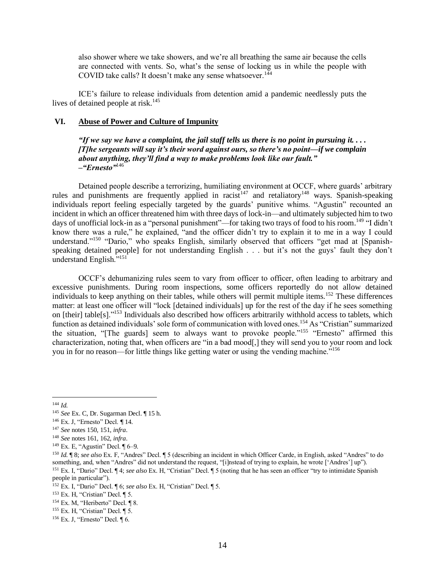also shower where we take showers, and we're all breathing the same air because the cells are connected with vents. So, what's the sense of locking us in while the people with COVID take calls? It doesn't make any sense whatsoever.<sup>144</sup>

ICE's failure to release individuals from detention amid a pandemic needlessly puts the lives of detained people at risk.<sup>145</sup>

### **VI. Abuse of Power and Culture of Impunity**

*"If we say we have a complaint, the jail staff tells us there is no point in pursuing it. . . . [T]he sergeants will say it's their word against ours, so there's no point—if we complain about anything, they'll find a way to make problems look like our fault." –"Ernesto"*<sup>146</sup>

Detained people describe a terrorizing, humiliating environment at OCCF, where guards' arbitrary rules and punishments are frequently applied in racist<sup>147</sup> and retaliatory<sup>148</sup> ways. Spanish-speaking individuals report feeling especially targeted by the guards' punitive whims. "Agustin" recounted an incident in which an officer threatened him with three days of lock-in—and ultimately subjected him to two days of unofficial lock-in as a "personal punishment"—for taking two trays of food to his room.<sup>149</sup> "I didn't know there was a rule," he explained, "and the officer didn't try to explain it to me in a way I could understand."<sup>150</sup> "Dario," who speaks English, similarly observed that officers "get mad at [Spanishspeaking detained people] for not understanding English . . . but it's not the guys' fault they don't understand English."<sup>151</sup>

OCCF's dehumanizing rules seem to vary from officer to officer, often leading to arbitrary and excessive punishments. During room inspections, some officers reportedly do not allow detained individuals to keep anything on their tables, while others will permit multiple items.<sup>152</sup> These differences matter: at least one officer will "lock [detained individuals] up for the rest of the day if he sees something on [their] table[s]."<sup>153</sup> Individuals also described how officers arbitrarily withhold access to tablets, which function as detained individuals' sole form of communication with loved ones.<sup>154</sup> As "Cristian" summarized the situation, "[The guards] seem to always want to provoke people."<sup>155</sup> "Ernesto" affirmed this characterization, noting that, when officers are "in a bad mood[,] they will send you to your room and lock you in for no reason—for little things like getting water or using the vending machine."<sup>156</sup>

<sup>155</sup> Ex. H, "Cristian" Decl. ¶ 5.

<sup>144</sup> *Id.*

<sup>145</sup> *See* Ex. C, Dr. Sugarman Decl. ¶ 15 h.

<sup>146</sup> Ex. J, "Ernesto" Decl. ¶ 14.

<sup>147</sup> *See* notes 150, 151, *infra*.

<sup>148</sup> *See* notes 161, 162, *infra*.

<sup>149</sup> Ex. E, "Agustin" Decl. ¶ 6–9.

<sup>150</sup> *Id.* ¶ 8; *see also* Ex. F, "Andres" Decl. ¶ 5 (describing an incident in which Officer Carde, in English, asked "Andres" to do something, and, when "Andres" did not understand the request, "[i]nstead of trying to explain, he wrote ['Andres'] up"). <sup>151</sup> Ex. I, "Dario" Decl. ¶ 4; *see also* Ex. H, "Cristian" Decl. ¶ 5 (noting that he has seen an officer "try to intimidate Spanish people in particular").

<sup>152</sup> Ex. I, "Dario" Decl. ¶ 6; *see also* Ex. H, "Cristian" Decl. ¶ 5.

<sup>153</sup> Ex. H, "Cristian" Decl. ¶ 5.

<sup>&</sup>lt;sup>154</sup> Ex. M, "Heriberto" Decl. ¶ 8.

<sup>156</sup> Ex. J, "Ernesto" Decl. ¶ 6.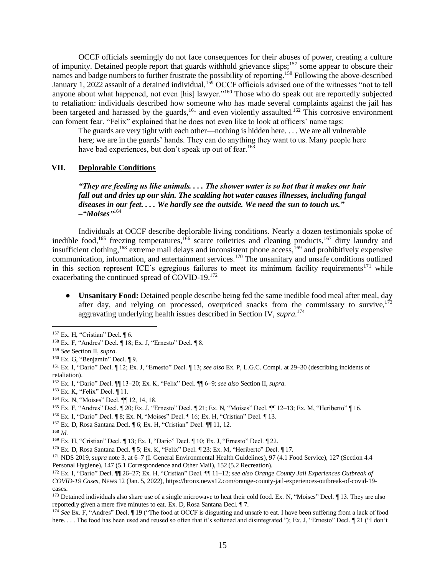OCCF officials seemingly do not face consequences for their abuses of power, creating a culture of impunity. Detained people report that guards withhold grievance slips;<sup>157</sup> some appear to obscure their names and badge numbers to further frustrate the possibility of reporting.<sup>158</sup> Following the above-described January 1, 2022 assault of a detained individual,<sup>159</sup> OCCF officials advised one of the witnesses "not to tell anyone about what happened, not even [his] lawyer."<sup>160</sup> Those who do speak out are reportedly subjected to retaliation: individuals described how someone who has made several complaints against the jail has been targeted and harassed by the guards,<sup>161</sup> and even violently assaulted.<sup>162</sup> This corrosive environment can foment fear. "Felix" explained that he does not even like to look at officers' name tags:

The guards are very tight with each other—nothing is hidden here. . . . We are all vulnerable here; we are in the guards' hands. They can do anything they want to us. Many people here have bad experiences, but don't speak up out of fear.<sup>163</sup>

### **VII. Deplorable Conditions**

*"They are feeding us like animals. . . . The shower water is so hot that it makes our hair fall out and dries up our skin. The scalding hot water causes illnesses, including fungal diseases in our feet. . . . We hardly see the outside. We need the sun to touch us." –"Moises"* 164

Individuals at OCCF describe deplorable living conditions. Nearly a dozen testimonials spoke of inedible food,<sup>165</sup> freezing temperatures,<sup>166</sup> scarce toiletries and cleaning products,<sup>167</sup> dirty laundry and insufficient clothing,<sup>168</sup> extreme mail delays and inconsistent phone access,<sup>169</sup> and prohibitively expensive communication, information, and entertainment services.<sup>170</sup> The unsanitary and unsafe conditions outlined in this section represent ICE's egregious failures to meet its minimum facility requirements<sup>171</sup> while exacerbating the continued spread of COVID-19.<sup>172</sup>

• **Unsanitary Food:** Detained people describe being fed the same inedible food meal after meal, day after day, and relying on processed, overpriced snacks from the commissary to survive,  $173$ aggravating underlying health issues described in Section IV, *supra*. 174

<sup>157</sup> Ex. H, "Cristian" Decl. ¶ 6.

<sup>158</sup> Ex. F, "Andres" Decl. ¶ 18; Ex. J, "Ernesto" Decl. ¶ 8.

<sup>159</sup> *See* Section II, *supra*.

 $160$  Ex. G, "Benjamin" Decl.  $\P$ 9.

<sup>161</sup> Ex. I, "Dario" Decl. ¶ 12; Ex. J, "Ernesto" Decl. ¶ 13; *see also* Ex. P, L.G.C. Compl. at 29–30 (describing incidents of retaliation).

<sup>162</sup> Ex. I, "Dario" Decl. ¶¶ 13–20; Ex. K, "Felix" Decl. ¶¶ 6–9; *see also* Section II, *supra*.

<sup>163</sup> Ex. K, "Felix" Decl. ¶ 11.

<sup>164</sup> Ex. N, "Moises" Decl. ¶¶ 12, 14, 18.

<sup>165</sup> Ex. F, "Andres" Decl. ¶ 20; Ex. J, "Ernesto" Decl. ¶ 21; Ex. N, "Moises" Decl. ¶¶ 12–13; Ex. M, "Heriberto" ¶ 16.

<sup>166</sup> Ex. I, "Dario" Decl. ¶ 8; Ex. N, "Moises" Decl. ¶ 16; Ex. H, "Cristian" Decl. ¶ 13.

<sup>167</sup> Ex. D, Rosa Santana Decl. ¶ 6; Ex. H, "Cristian" Decl. ¶¶ 11, 12.

<sup>168</sup> *Id*.

<sup>169</sup> Ex. H, "Cristian" Decl. ¶ 13; Ex. I, "Dario" Decl. ¶ 10; Ex. J, "Ernesto" Decl. ¶ 22.

<sup>170</sup> Ex. D, Rosa Santana Decl. ¶ 5; Ex. K, "Felix" Decl. ¶ 23; Ex. M, "Heriberto" Decl. ¶ 17.

<sup>171</sup> NDS 2019, *supra* note 3, at 6–7 (I. General Environmental Health Guidelines), 97 (4.1 Food Service), 127 (Section 4.4 Personal Hygiene), 147 (5.1 Correspondence and Other Mail), 152 (5.2 Recreation).

<sup>172</sup> Ex. I, "Dario" Decl. ¶¶ 26–27; Ex. H, "Cristian" Decl. ¶¶ 11–12; *see also Orange County Jail Experiences Outbreak of COVID-19 Cases*, NEWS 12 (Jan. 5, 2022), https://bronx.news12.com/orange-county-jail-experiences-outbreak-of-covid-19 cases.

<sup>&</sup>lt;sup>173</sup> Detained individuals also share use of a single microwave to heat their cold food. Ex. N, "Moises" Decl. ¶ 13. They are also reportedly given a mere five minutes to eat. Ex. D, Rosa Santana Decl. ¶ 7.

<sup>174</sup> *See* Ex. F, "Andres" Decl. ¶ 19 ("The food at OCCF is disgusting and unsafe to eat. I have been suffering from a lack of food here. . . . The food has been used and reused so often that it's softened and disintegrated."); Ex. J, "Ernesto" Decl.  $\llbracket 21 \text{ ("I don't]}$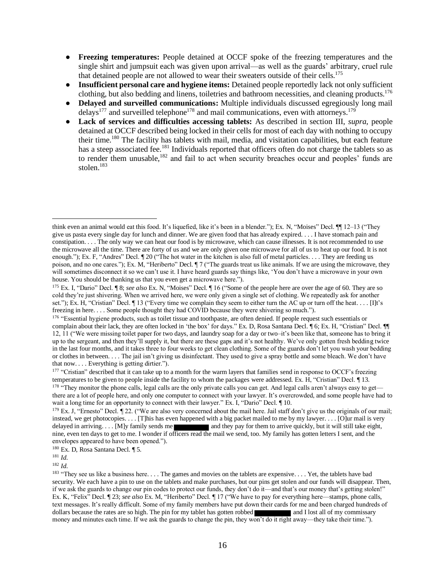- **Freezing temperatures:** People detained at OCCF spoke of the freezing temperatures and the single shirt and jumpsuit each was given upon arrival—as well as the guards' arbitrary, cruel rule that detained people are not allowed to wear their sweaters outside of their cells.<sup>175</sup>
- **Insufficient personal care and hygiene items:** Detained people reportedly lack not only sufficient clothing, but also bedding and linens, toiletries and bathroom necessities, and cleaning products.<sup>176</sup>
- **Delayed and surveilled communications:** Multiple individuals discussed egregiously long mail delays<sup>177</sup> and surveilled telephone<sup>178</sup> and mail communications, even with attorneys.<sup>179</sup>
- Lack of services and difficulties accessing tablets: As described in section III, *supra*, people detained at OCCF described being locked in their cells for most of each day with nothing to occupy their time.<sup>180</sup> The facility has tablets with mail, media, and visitation capabilities, but each feature has a steep associated fee.<sup>181</sup> Individuals reported that officers often do not charge the tablets so as to render them unusable, $182$  and fail to act when security breaches occur and peoples' funds are stolen.<sup>183</sup>

<sup>180</sup> Ex. D, Rosa Santana Decl. ¶ 5.

<sup>181</sup> *Id*.

<sup>182</sup> *Id*.

think even an animal would eat this food. It's liquefied, like it's been in a blender."); Ex. N, "Moises" Decl. ¶¶ 12–13 ("They give us pasta every single day for lunch and dinner. We are given food that has already expired. . . . I have stomach pain and constipation. . . . The only way we can heat our food is by microwave, which can cause illnesses. It is not recommended to use the microwave all the time. There are forty of us and we are only given one microwave for all of us to heat up our food. It is not enough."); Ex. F, "Andres" Decl. ¶ 20 ("The hot water in the kitchen is also full of metal particles. . . . They are feeding us poison, and no one cares."); Ex. M, "Heriberto" Decl. ¶ 7 ("The guards treat us like animals. If we are using the microwave, they will sometimes disconnect it so we can't use it. I have heard guards say things like, 'You don't have a microwave in your own house. You should be thanking us that you even get a microwave here.").

<sup>175</sup> Ex. I, "Dario" Decl. ¶ 8; *see also* Ex. N, "Moises" Decl. ¶ 16 ("Some of the people here are over the age of 60. They are so cold they're just shivering. When we arrived here, we were only given a single set of clothing. We repeatedly ask for another set."); Ex. H, "Cristian" Decl. ¶ 13 ("Every time we complain they seem to either turn the AC up or turn off the heat. . . . [I]t's freezing in here. . . . Some people thought they had COVID because they were shivering so much.").

<sup>&</sup>lt;sup>176</sup> "Essential hygiene products, such as toilet tissue and toothpaste, are often denied. If people request such essentials or complain about their lack, they are often locked in 'the box' for days." Ex. D, Rosa Santana Decl. ¶ 6; Ex. H, "Cristian" Decl. ¶ 12, 11 ("We were missing toilet paper for two days, and laundry soap for a day or two–it's been like that, someone has to bring it up to the sergeant, and then they'll supply it, but there are these gaps and it's not healthy. We've only gotten fresh bedding twice in the last four months, and it takes three to four weeks to get clean clothing. Some of the guards don't let you wash your bedding or clothes in between. . . . The jail isn't giving us disinfectant. They used to give a spray bottle and some bleach. We don't have that now. . . . Everything is getting dirtier.").

<sup>&</sup>lt;sup>177</sup> "Cristian" described that it can take up to a month for the warm layers that families send in response to OCCF's freezing temperatures to be given to people inside the facility to whom the packages were addressed. Ex. H, "Cristian" Decl. ¶ 13. <sup>178</sup> "They monitor the phone calls, legal calls are the only private calls you can get. And legal calls aren't always easy to get there are a lot of people here, and only one computer to connect with your lawyer. It's overcrowded, and some people have had to wait a long time for an opportunity to connect with their lawyer." Ex. I, "Dario" Decl.  $\P$  10.

<sup>179</sup> Ex. J, "Ernesto" Decl. ¶ 22. ("We are also very concerned about the mail here. Jail staff don't give us the originals of our mail; instead, we get photocopies. . . . [T]his has even happened with a big packet mailed to me by my lawyer. . . . [O]ur mail is very delayed in arriving. . . . [M]y family sends me and they pay for them to arrive quickly, but it will still take eight, nine, even ten days to get to me. I wonder if officers read the mail we send, too. My family has gotten letters I sent, and the envelopes appeared to have been opened.").

<sup>&</sup>lt;sup>183</sup> "They see us like a business here. . . . The games and movies on the tablets are expensive. . . . Yet, the tablets have bad security. We each have a pin to use on the tablets and make purchases, but our pins get stolen and our funds will disappear. Then, if we ask the guards to change our pin codes to protect our funds, they don't do it—and that's our money that's getting stolen!" Ex. K, "Felix" Decl. ¶ 23; *see also* Ex. M, "Heriberto" Decl. ¶ 17 ("We have to pay for everything here—stamps, phone calls, text messages. It's really difficult. Some of my family members have put down their cards for me and been charged hundreds of dollars because the rates are so high. The pin for my tablet has gotten robbed and I lost all of my commissary money and minutes each time. If we ask the guards to change the pin, they won't do it right away—they take their time.").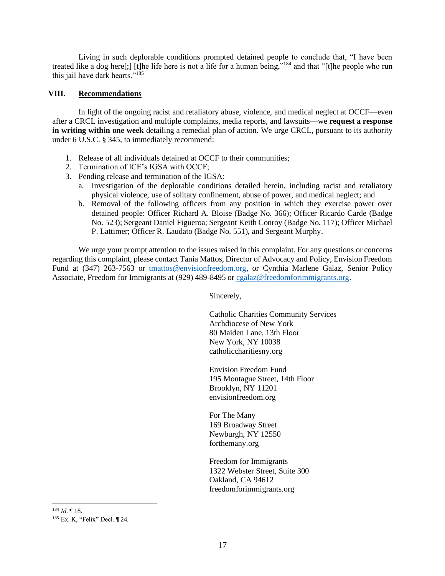Living in such deplorable conditions prompted detained people to conclude that, "I have been treated like a dog here[;] [t]he life here is not a life for a human being,"<sup>184</sup> and that "[t]he people who run this jail have dark hearts."<sup>185</sup>

### **VIII. Recommendations**

In light of the ongoing racist and retaliatory abuse, violence, and medical neglect at OCCF—even after a CRCL investigation and multiple complaints, media reports, and lawsuits—we **request a response in writing within one week** detailing a remedial plan of action. We urge CRCL, pursuant to its authority under 6 U.S.C. § 345, to immediately recommend:

- 1. Release of all individuals detained at OCCF to their communities;
- 2. Termination of ICE's IGSA with OCCF;
- 3. Pending release and termination of the IGSA:
	- a. Investigation of the deplorable conditions detailed herein, including racist and retaliatory physical violence, use of solitary confinement, abuse of power, and medical neglect; and
	- b. Removal of the following officers from any position in which they exercise power over detained people: Officer Richard A. Bloise (Badge No. 366); Officer Ricardo Carde (Badge No. 523); Sergeant Daniel Figueroa; Sergeant Keith Conroy (Badge No. 117); Officer Michael P. Lattimer; Officer R. Laudato (Badge No. 551), and Sergeant Murphy.

We urge your prompt attention to the issues raised in this complaint. For any questions or concerns regarding this complaint, please contact Tania Mattos, Director of Advocacy and Policy, Envision Freedom Fund at (347) 263-7563 or tmattos@envisionfreedom.org, or Cynthia Marlene Galaz, Senior Policy Associate, Freedom for Immigrants at (929) 489-8495 or cgalaz@freedomforimmigrants.org.

Sincerely,

Catholic Charities Community Services Archdiocese of New York 80 Maiden Lane, 13th Floor New York, NY 10038 catholiccharitiesny.org

Envision Freedom Fund 195 Montague Street, 14th Floor Brooklyn, NY 11201 envisionfreedom.org

For The Many 169 Broadway Street Newburgh, NY 12550 forthemany.org

Freedom for Immigrants 1322 Webster Street, Suite 300 Oakland, CA 94612 freedomforimmigrants.org

<sup>184</sup> *Id*. ¶ 18. <sup>185</sup> Ex. K, "Felix" Decl. ¶ 24.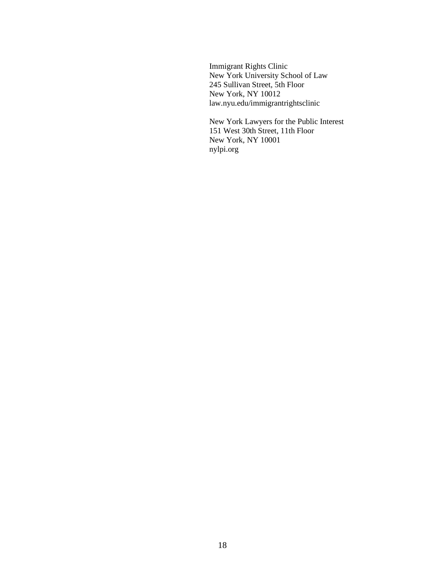Immigrant Rights Clinic New York University School of Law 245 Sullivan Street, 5th Floor New York, NY 10012 law.nyu.edu/immigrantrightsclinic

New York Lawyers for the Public Interest 151 West 30th Street, 11th Floor New York, NY 10001 nylpi.org